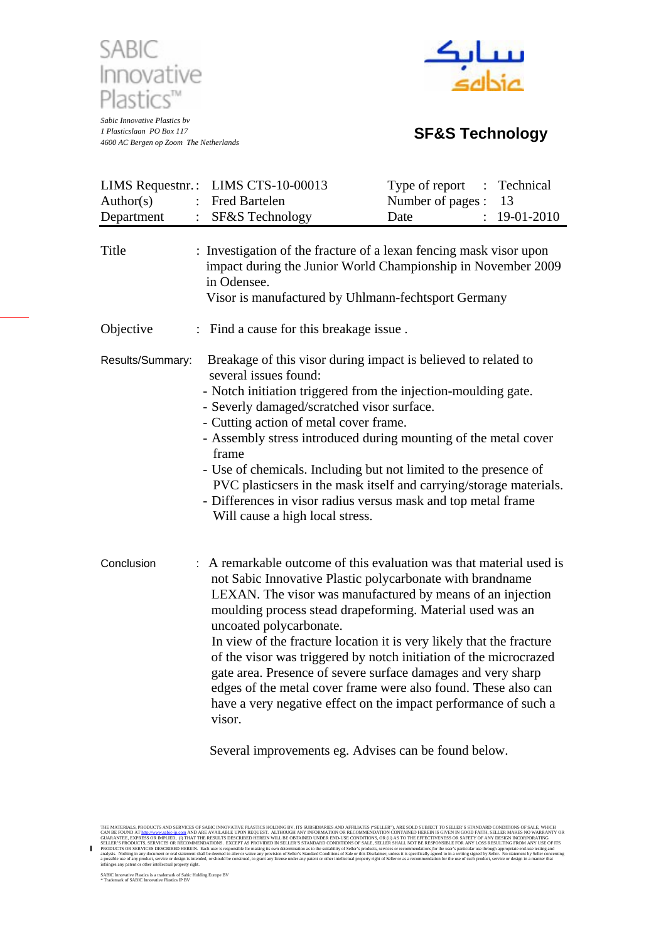

*Sabic Innovative Plastics bv 1 Plasticslaan PO Box 117 4600 AC Bergen op Zoom The Netherlands* **SF&S Technology**



| Author(s)<br>Department | LIMS Requestnr.: LIMS CTS-10-00013<br>Fred Bartelen<br>SF&S Technology                                                                                                                                                                                                                                                                                                                                                                                                                                                                                                                                                                           | Type of report<br>Technical<br>Number of pages :<br>13<br>19-01-2010<br>Date |  |  |  |  |  |  |
|-------------------------|--------------------------------------------------------------------------------------------------------------------------------------------------------------------------------------------------------------------------------------------------------------------------------------------------------------------------------------------------------------------------------------------------------------------------------------------------------------------------------------------------------------------------------------------------------------------------------------------------------------------------------------------------|------------------------------------------------------------------------------|--|--|--|--|--|--|
| Title                   | : Investigation of the fracture of a lexan fencing mask visor upon<br>impact during the Junior World Championship in November 2009<br>in Odensee.<br>Visor is manufactured by Uhlmann-fechtsport Germany                                                                                                                                                                                                                                                                                                                                                                                                                                         |                                                                              |  |  |  |  |  |  |
| Objective               | : Find a cause for this breakage issue.                                                                                                                                                                                                                                                                                                                                                                                                                                                                                                                                                                                                          |                                                                              |  |  |  |  |  |  |
| Results/Summary:        | Breakage of this visor during impact is believed to related to<br>several issues found:<br>- Notch initiation triggered from the injection-moulding gate.<br>- Severly damaged/scratched visor surface.<br>- Cutting action of metal cover frame.<br>- Assembly stress introduced during mounting of the metal cover<br>frame<br>- Use of chemicals. Including but not limited to the presence of<br>PVC plasticsers in the mask itself and carrying/storage materials.<br>- Differences in visor radius versus mask and top metal frame<br>Will cause a high local stress.                                                                      |                                                                              |  |  |  |  |  |  |
| Conclusion              | A remarkable outcome of this evaluation was that material used is<br>not Sabic Innovative Plastic polycarbonate with brandname<br>LEXAN. The visor was manufactured by means of an injection<br>moulding process stead drapeforming. Material used was an<br>uncoated polycarbonate.<br>In view of the fracture location it is very likely that the fracture<br>of the visor was triggered by notch initiation of the microcrazed<br>gate area. Presence of severe surface damages and very sharp<br>edges of the metal cover frame were also found. These also can<br>have a very negative effect on the impact performance of such a<br>visor. |                                                                              |  |  |  |  |  |  |

Several improvements eg. Advises can be found below.

THE MATERIALS, PRODUCTS AND SERVICES OF SABIC INNOVATUE PLASTICS HOLDING BY, ITS SUISSIDARIES AND AFHILATES ("SELLER WAS ENDIRED HEREN IS GIVEN IN GOOD FAITH, SELLER MAKES NO WARRANTY OR<br>CAIABATERIALS, PRODUCTS AND SERVICE

SABIC Innovative Plastics is a trademark of Sabic Holding Europe BV \* Trademark of SABIC Innovative Plastics IP BV

 $\mathbf{r}$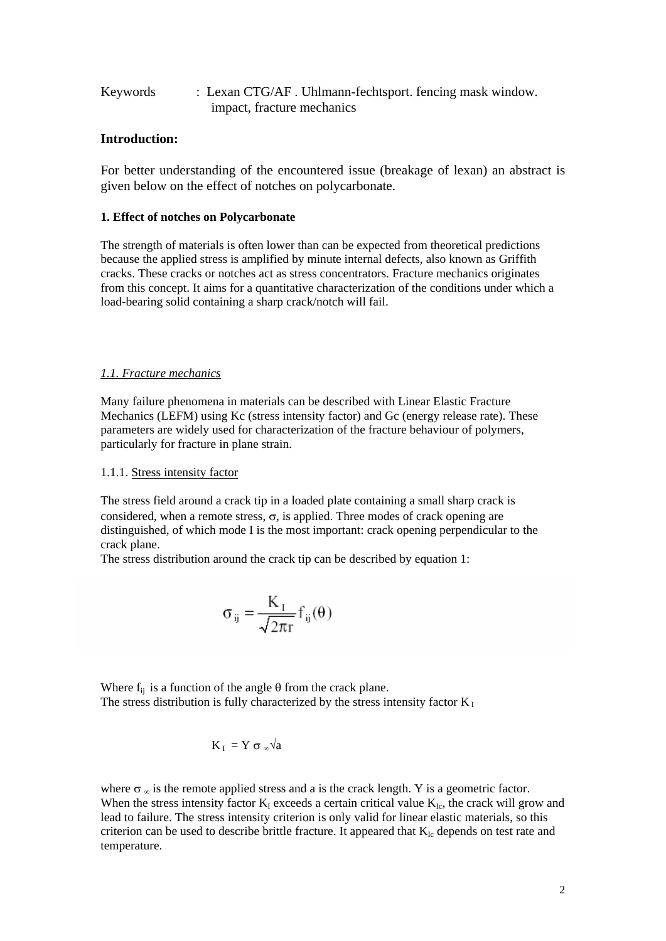| Keywords | : Lexan CTG/AF. Uhlmann-fechtsport. fencing mask window. |
|----------|----------------------------------------------------------|
|          | impact, fracture mechanics                               |

## **Introduction:**

For better understanding of the encountered issue (breakage of lexan) an abstract is given below on the effect of notches on polycarbonate.

## **1. Effect of notches on Polycarbonate**

The strength of materials is often lower than can be expected from theoretical predictions because the applied stress is amplified by minute internal defects, also known as Griffith cracks. These cracks or notches act as stress concentrators. Fracture mechanics originates from this concept. It aims for a quantitative characterization of the conditions under which a load-bearing solid containing a sharp crack/notch will fail.

## *1.1. Fracture mechanics*

Many failure phenomena in materials can be described with Linear Elastic Fracture Mechanics (LEFM) using Kc (stress intensity factor) and Gc (energy release rate). These parameters are widely used for characterization of the fracture behaviour of polymers, particularly for fracture in plane strain.

## 1.1.1. Stress intensity factor

The stress field around a crack tip in a loaded plate containing a small sharp crack is considered, when a remote stress,  $\sigma$ , is applied. Three modes of crack opening are distinguished, of which mode I is the most important: crack opening perpendicular to the crack plane.

The stress distribution around the crack tip can be described by equation 1:

$$
\sigma_{ij} = \frac{K_i}{\sqrt{2\pi r}} f_{ij}(\theta)
$$

Where  $f_{ii}$  is a function of the angle  $\theta$  from the crack plane. The stress distribution is fully characterized by the stress intensity factor  $K_I$ 

$$
K_{I} = Y \sigma_{\infty} \sqrt{a}
$$

where  $\sigma_{\infty}$  is the remote applied stress and a is the crack length. Y is a geometric factor. When the stress intensity factor  $K_I$  exceeds a certain critical value  $K_{Ic}$ , the crack will grow and lead to failure. The stress intensity criterion is only valid for linear elastic materials, so this criterion can be used to describe brittle fracture. It appeared that  $K_{Ic}$  depends on test rate and temperature.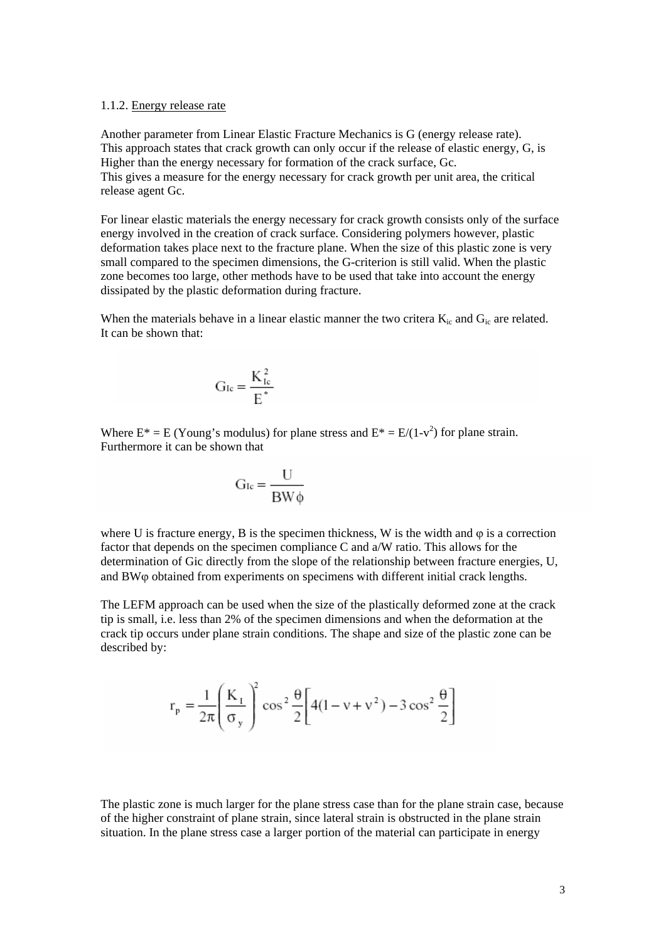#### 1.1.2. Energy release rate

Another parameter from Linear Elastic Fracture Mechanics is G (energy release rate). This approach states that crack growth can only occur if the release of elastic energy, G, is Higher than the energy necessary for formation of the crack surface, Gc. This gives a measure for the energy necessary for crack growth per unit area, the critical release agent Gc.

For linear elastic materials the energy necessary for crack growth consists only of the surface energy involved in the creation of crack surface. Considering polymers however, plastic deformation takes place next to the fracture plane. When the size of this plastic zone is very small compared to the specimen dimensions, the G-criterion is still valid. When the plastic zone becomes too large, other methods have to be used that take into account the energy dissipated by the plastic deformation during fracture.

When the materials behave in a linear elastic manner the two critera  $K_i$  and  $G_i$  are related. It can be shown that:

$$
G_{Ic}=\frac{K_{Ic}^2}{E^*}
$$

Where  $E^* = E$  (Young's modulus) for plane stress and  $E^* = E/(1-v^2)$  for plane strain. Furthermore it can be shown that

$$
G_{Ic} = \frac{U}{BW\phi}
$$

where U is fracture energy, B is the specimen thickness, W is the width and  $\varphi$  is a correction factor that depends on the specimen compliance C and a/W ratio. This allows for the determination of Gic directly from the slope of the relationship between fracture energies, U, and BWϕ obtained from experiments on specimens with different initial crack lengths.

The LEFM approach can be used when the size of the plastically deformed zone at the crack tip is small, i.e. less than 2% of the specimen dimensions and when the deformation at the crack tip occurs under plane strain conditions. The shape and size of the plastic zone can be described by:

$$
r_p = \frac{1}{2\pi} \left(\frac{K_1}{\sigma_y}\right)^2 \cos^2 \frac{\theta}{2} \left[4(1 - v + v^2) - 3\cos^2 \frac{\theta}{2}\right]
$$

The plastic zone is much larger for the plane stress case than for the plane strain case, because of the higher constraint of plane strain, since lateral strain is obstructed in the plane strain situation. In the plane stress case a larger portion of the material can participate in energy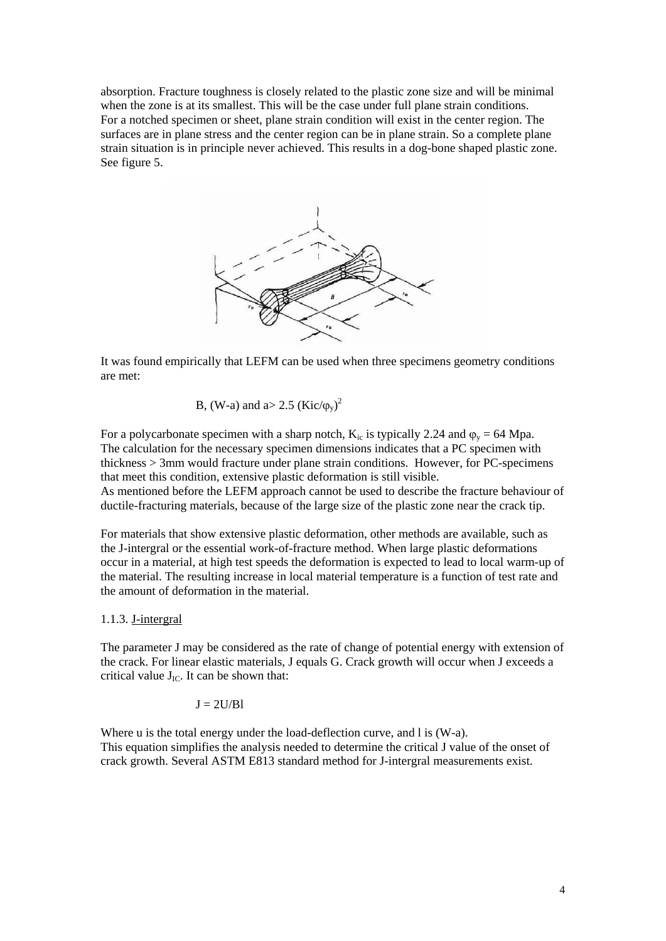absorption. Fracture toughness is closely related to the plastic zone size and will be minimal when the zone is at its smallest. This will be the case under full plane strain conditions. For a notched specimen or sheet, plane strain condition will exist in the center region. The surfaces are in plane stress and the center region can be in plane strain. So a complete plane strain situation is in principle never achieved. This results in a dog-bone shaped plastic zone. See figure 5.



It was found empirically that LEFM can be used when three specimens geometry conditions are met:

B, (W-a) and a> 2.5 (Kic/ $(\varphi_y)^2$ 

For a polycarbonate specimen with a sharp notch,  $K_{i,c}$  is typically 2.24 and  $\varphi_v = 64$  Mpa. The calculation for the necessary specimen dimensions indicates that a PC specimen with thickness > 3mm would fracture under plane strain conditions. However, for PC-specimens that meet this condition, extensive plastic deformation is still visible. As mentioned before the LEFM approach cannot be used to describe the fracture behaviour of ductile-fracturing materials, because of the large size of the plastic zone near the crack tip.

For materials that show extensive plastic deformation, other methods are available, such as the J-intergral or the essential work-of-fracture method. When large plastic deformations occur in a material, at high test speeds the deformation is expected to lead to local warm-up of the material. The resulting increase in local material temperature is a function of test rate and the amount of deformation in the material.

1.1.3. J-intergral

The parameter J may be considered as the rate of change of potential energy with extension of the crack. For linear elastic materials, J equals G. Crack growth will occur when J exceeds a critical value  $J_{IC}$ . It can be shown that:

 $J = 2U/Bl$ 

Where u is the total energy under the load-deflection curve, and l is (W-a). This equation simplifies the analysis needed to determine the critical J value of the onset of crack growth. Several ASTM E813 standard method for J-intergral measurements exist.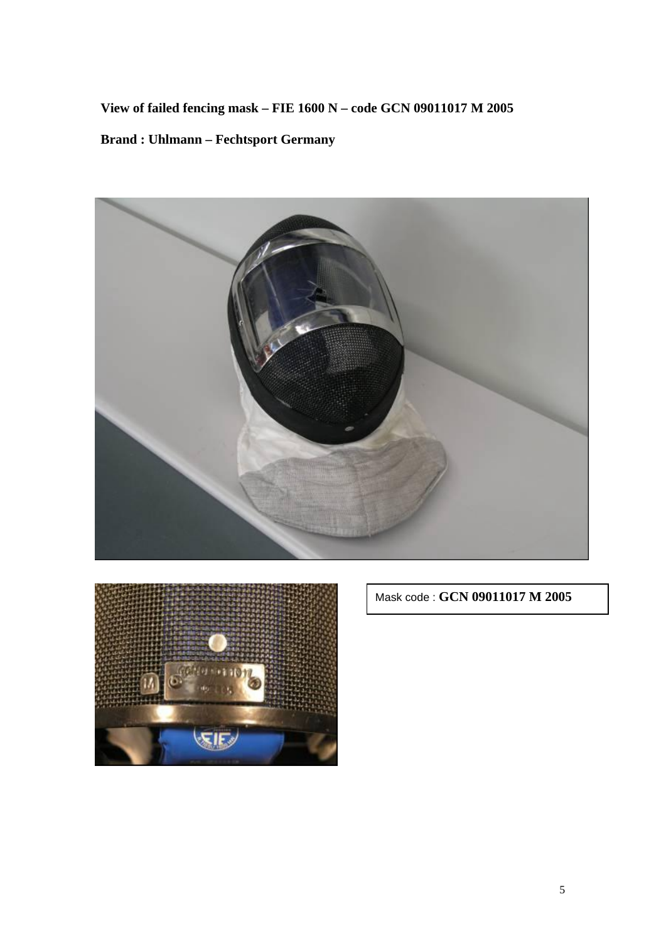**View of failed fencing mask – FIE 1600 N – code GCN 09011017 M 2005 Brand : Uhlmann – Fechtsport Germany** 





Mask code : **GCN 09011017 M 2005**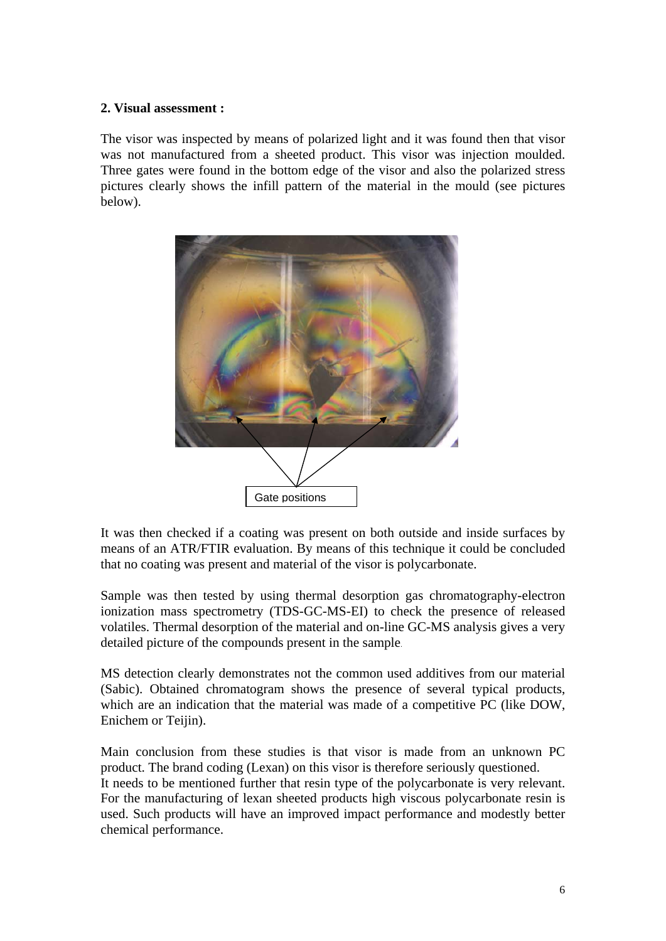# **2. Visual assessment :**

The visor was inspected by means of polarized light and it was found then that visor was not manufactured from a sheeted product. This visor was injection moulded. Three gates were found in the bottom edge of the visor and also the polarized stress pictures clearly shows the infill pattern of the material in the mould (see pictures below).



It was then checked if a coating was present on both outside and inside surfaces by means of an ATR/FTIR evaluation. By means of this technique it could be concluded that no coating was present and material of the visor is polycarbonate.

Sample was then tested by using thermal desorption gas chromatography-electron ionization mass spectrometry (TDS-GC-MS-EI) to check the presence of released volatiles. Thermal desorption of the material and on-line GC-MS analysis gives a very detailed picture of the compounds present in the sample.

MS detection clearly demonstrates not the common used additives from our material (Sabic). Obtained chromatogram shows the presence of several typical products, which are an indication that the material was made of a competitive PC (like DOW, Enichem or Teijin).

Main conclusion from these studies is that visor is made from an unknown PC product. The brand coding (Lexan) on this visor is therefore seriously questioned. It needs to be mentioned further that resin type of the polycarbonate is very relevant. For the manufacturing of lexan sheeted products high viscous polycarbonate resin is used. Such products will have an improved impact performance and modestly better chemical performance.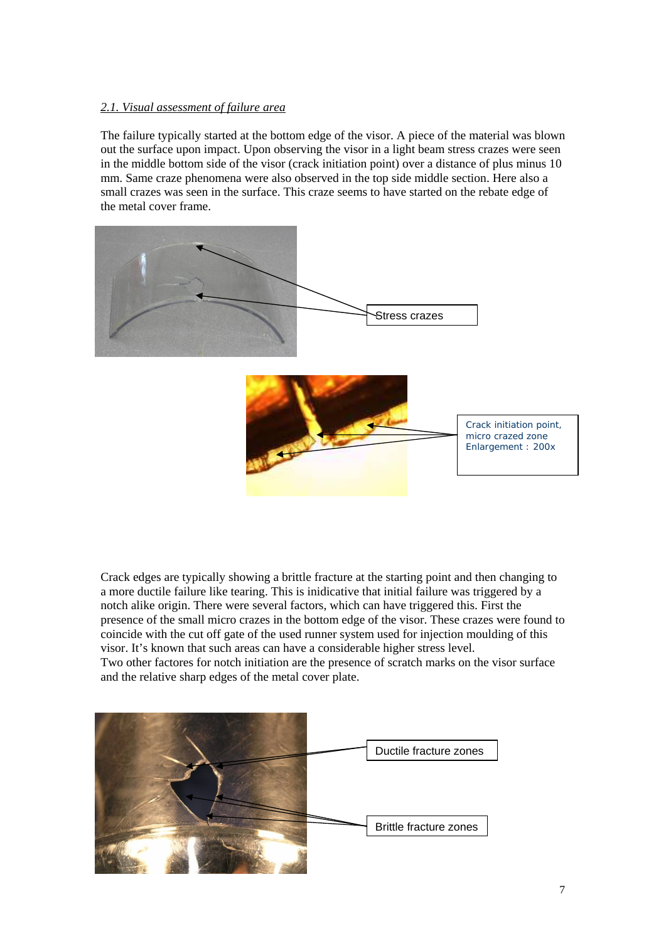## *2.1. Visual assessment of failure area*

The failure typically started at the bottom edge of the visor. A piece of the material was blown out the surface upon impact. Upon observing the visor in a light beam stress crazes were seen in the middle bottom side of the visor (crack initiation point) over a distance of plus minus 10 mm. Same craze phenomena were also observed in the top side middle section. Here also a small crazes was seen in the surface. This craze seems to have started on the rebate edge of the metal cover frame.



Crack edges are typically showing a brittle fracture at the starting point and then changing to a more ductile failure like tearing. This is inidicative that initial failure was triggered by a notch alike origin. There were several factors, which can have triggered this. First the presence of the small micro crazes in the bottom edge of the visor. These crazes were found to coincide with the cut off gate of the used runner system used for injection moulding of this visor. It's known that such areas can have a considerable higher stress level. Two other factores for notch initiation are the presence of scratch marks on the visor surface and the relative sharp edges of the metal cover plate.

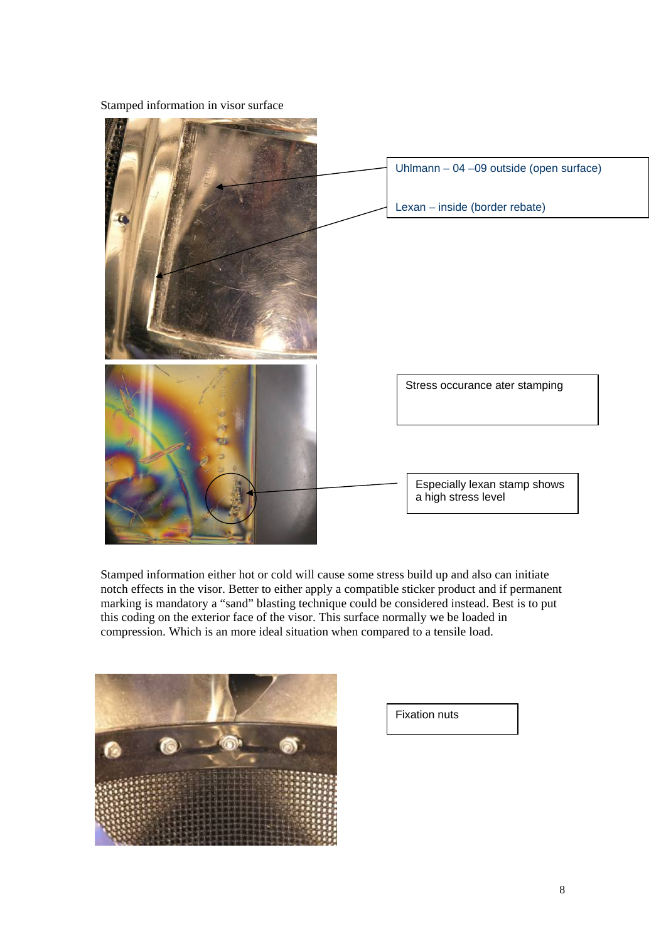

Stamped information in visor surface

Stamped information either hot or cold will cause some stress build up and also can initiate notch effects in the visor. Better to either apply a compatible sticker product and if permanent marking is mandatory a "sand" blasting technique could be considered instead. Best is to put this coding on the exterior face of the visor. This surface normally we be loaded in compression. Which is an more ideal situation when compared to a tensile load.



Fixation nuts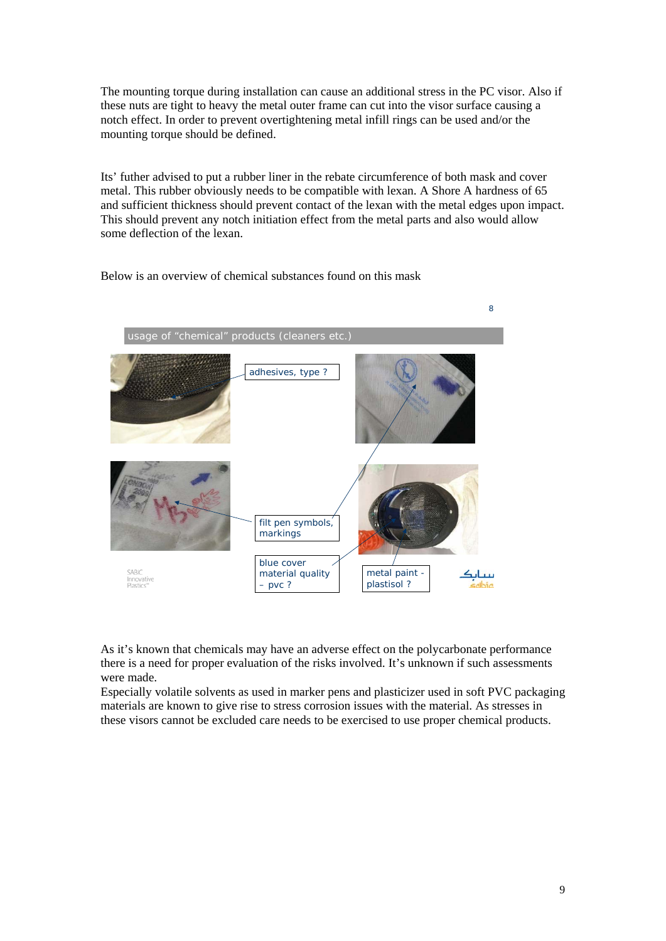The mounting torque during installation can cause an additional stress in the PC visor. Also if these nuts are tight to heavy the metal outer frame can cut into the visor surface causing a notch effect. In order to prevent overtightening metal infill rings can be used and/or the mounting torque should be defined.

Its' futher advised to put a rubber liner in the rebate circumference of both mask and cover metal. This rubber obviously needs to be compatible with lexan. A Shore A hardness of 65 and sufficient thickness should prevent contact of the lexan with the metal edges upon impact. This should prevent any notch initiation effect from the metal parts and also would allow some deflection of the lexan.

Below is an overview of chemical substances found on this mask



As it's known that chemicals may have an adverse effect on the polycarbonate performance there is a need for proper evaluation of the risks involved. It's unknown if such assessments were made.

Especially volatile solvents as used in marker pens and plasticizer used in soft PVC packaging materials are known to give rise to stress corrosion issues with the material. As stresses in these visors cannot be excluded care needs to be exercised to use proper chemical products.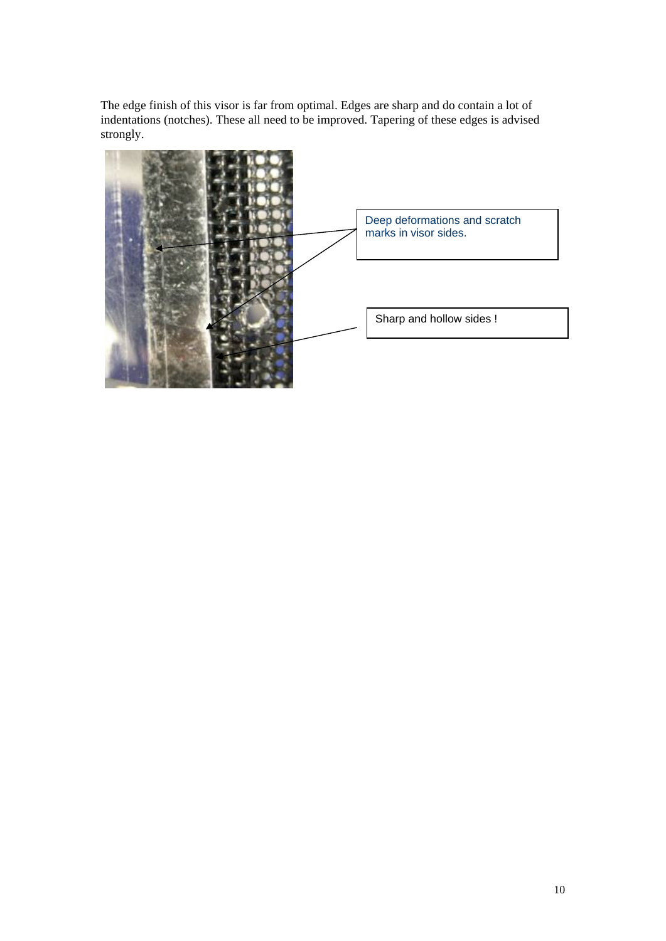The edge finish of this visor is far from optimal. Edges are sharp and do contain a lot of indentations (notches). These all need to be improved. Tapering of these edges is advised strongly.

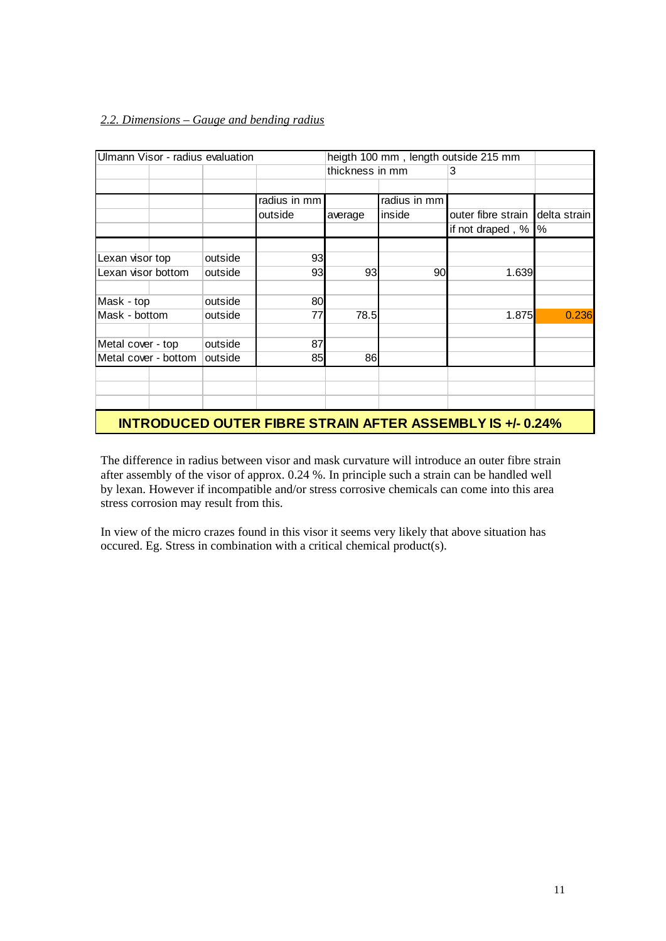## *2.2. Dimensions – Gauge and bending radius*

| Ulmann Visor - radius evaluation                                 |         |              | heigth 100 mm, length outside 215 mm |              |                    |              |  |  |
|------------------------------------------------------------------|---------|--------------|--------------------------------------|--------------|--------------------|--------------|--|--|
|                                                                  |         |              | thickness in mm                      |              | 3                  |              |  |  |
|                                                                  |         |              |                                      |              |                    |              |  |  |
|                                                                  |         | radius in mm |                                      | radius in mm |                    |              |  |  |
|                                                                  |         | outside      | average                              | inside       | outer fibre strain | delta strain |  |  |
|                                                                  |         |              |                                      |              | if not draped, %   | %            |  |  |
|                                                                  |         |              |                                      |              |                    |              |  |  |
| Lexan visor top                                                  | outside | 93           |                                      |              |                    |              |  |  |
| Lexan visor bottom                                               | outside | 93           | 93                                   | 90           | 1.639              |              |  |  |
| Mask - top                                                       | outside | 80           |                                      |              |                    |              |  |  |
| Mask - bottom                                                    | outside | 77           | 78.5                                 |              | 1.875              | 0.236        |  |  |
| Metal cover - top                                                | outside | 87           |                                      |              |                    |              |  |  |
| Metal cover - bottom                                             | outside | 85           | 86                                   |              |                    |              |  |  |
|                                                                  |         |              |                                      |              |                    |              |  |  |
|                                                                  |         |              |                                      |              |                    |              |  |  |
|                                                                  |         |              |                                      |              |                    |              |  |  |
| <b>INTRODUCED OUTER FIBRE STRAIN AFTER ASSEMBLY IS +/- 0.24%</b> |         |              |                                      |              |                    |              |  |  |

The difference in radius between visor and mask curvature will introduce an outer fibre strain after assembly of the visor of approx. 0.24 %. In principle such a strain can be handled well by lexan. However if incompatible and/or stress corrosive chemicals can come into this area stress corrosion may result from this.

In view of the micro crazes found in this visor it seems very likely that above situation has occured. Eg. Stress in combination with a critical chemical product(s).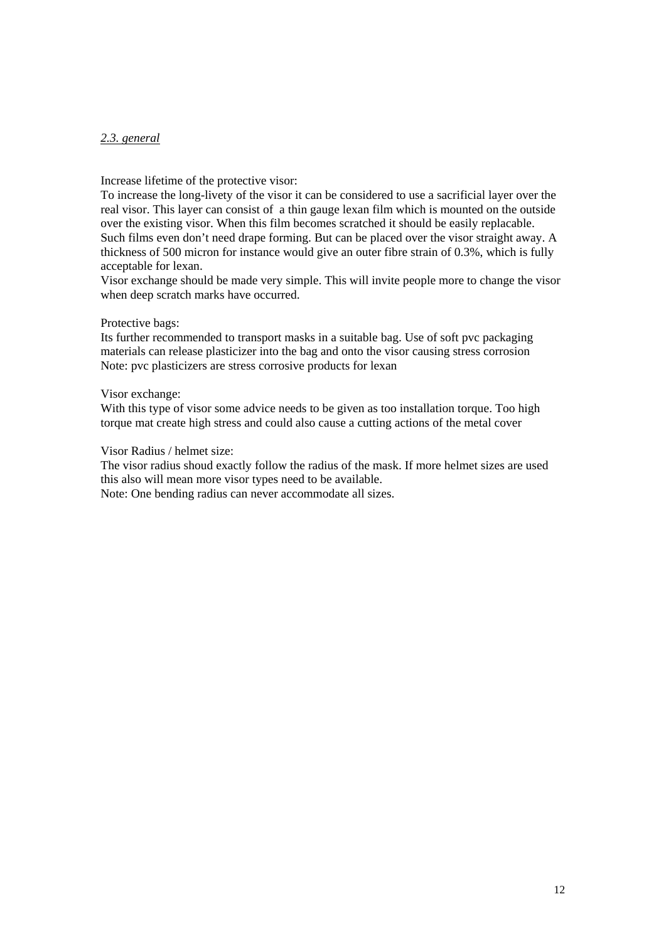## *2.3. general*

Increase lifetime of the protective visor:

To increase the long-livety of the visor it can be considered to use a sacrificial layer over the real visor. This layer can consist of a thin gauge lexan film which is mounted on the outside over the existing visor. When this film becomes scratched it should be easily replacable. Such films even don't need drape forming. But can be placed over the visor straight away. A thickness of 500 micron for instance would give an outer fibre strain of 0.3%, which is fully acceptable for lexan.

Visor exchange should be made very simple. This will invite people more to change the visor when deep scratch marks have occurred.

#### Protective bags:

Its further recommended to transport masks in a suitable bag. Use of soft pvc packaging materials can release plasticizer into the bag and onto the visor causing stress corrosion Note: pvc plasticizers are stress corrosive products for lexan

#### Visor exchange:

With this type of visor some advice needs to be given as too installation torque. Too high torque mat create high stress and could also cause a cutting actions of the metal cover

#### Visor Radius / helmet size:

The visor radius shoud exactly follow the radius of the mask. If more helmet sizes are used this also will mean more visor types need to be available.

Note: One bending radius can never accommodate all sizes.